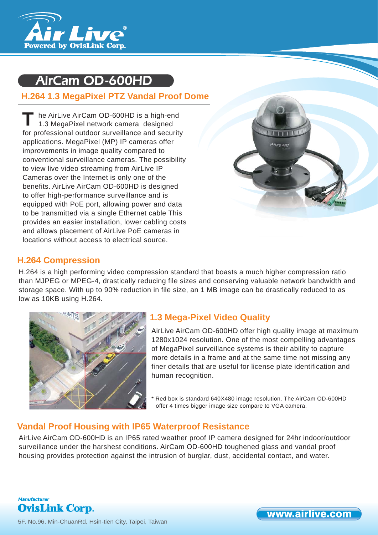

# AirCam OD-600HD

## **H.264 1.3 MegaPixel PTZ Vandal Proof Dome**

he AirLive AirCam OD-600HD is a high-end 1.3 MegaPixel network camera designed for professional outdoor surveillance and security applications. MegaPixel (MP) IP cameras offer improvements in image quality compared to conventional surveillance cameras. The possibility to view live video streaming from AirLive IP Cameras over the Internet is only one of the benefits. AirLive AirCam OD-600HD is designed to offer high-performance surveillance and is equipped with PoE port, allowing power and data to be transmitted via a single Ethernet cable This provides an easier installation, lower cabling costs and allows placement of AirLive PoE cameras in locations without access to electrical source. **T**



## **H.264 Compression**

H.264 is a high performing video compression standard that boasts a much higher compression ratio than MJPEG or MPEG-4, drastically reducing file sizes and conserving valuable network bandwidth and storage space. With up to 90% reduction in file size, an 1 MB image can be drastically reduced to as low as 10KB using H.264.



## **1.3 Mega-Pixel Video Quality**

AirLive AirCam OD-600HD offer high quality image at maximum 1280x1024 resolution. One of the most compelling advantages of MegaPixel surveillance systems is their ability to capture more details in a frame and at the same time not missing any finer details that are useful for license plate identification and human recognition.

Red box is standard 640X480 image resolution. The AirCam OD-600HD offer 4 times bigger image size compare to VGA camera.

## **Vandal Proof Housing with IP65 Waterproof Resistance**

AirLive AirCam OD-600HD is an IP65 rated weather proof IP camera designed for 24hr indoor/outdoor surveillance under the harshest conditions. AirCam OD-600HD toughened glass and vandal proof housing provides protection against the intrusion of burglar, dust, accidental contact, and water.

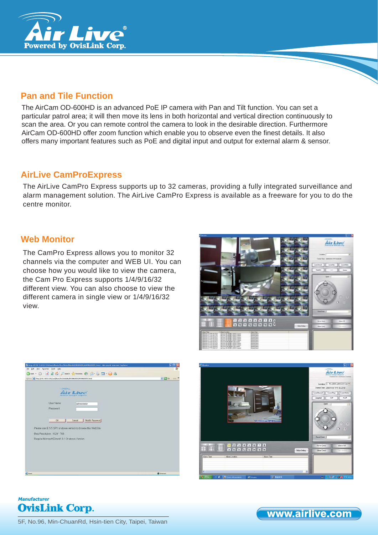

## **Pan and Tile Function**

The AirCam OD-600HD is an advanced PoE IP camera with Pan and Tilt function. You can set a particular patrol area; it will then move its lens in both horizontal and vertical direction continuously to scan the area. Or you can remote control the camera to look in the desirable direction. Furthermore AirCam OD-600HD offer zoom function which enable you to observe even the finest details. It also offers many important features such as PoE and digital input and output for external alarm & sensor.

## **AirLive CamProExpress**

The AirLive CamPro Express supports up to 32 cameras, providing a fully integrated surveillance and alarm management solution. The AirLive CamPro Express is available as a freeware for you to do the centre monitor.

### **Web Monitor**

The CamPro Express allows you to monitor 32 channels via the computer and WEB UI. You can choose how you would like to view the camera, the Cam Pro Express supports 1/4/9/16/32 different view. You can also choose to view the different camera in single view or 1/4/9/16/32 view.







#### **Manufacturer OvisLink Corp.**

5F, No.96, Min-ChuanRd, Hsin-tien City, Taipei, Taiwan

www.airlive.com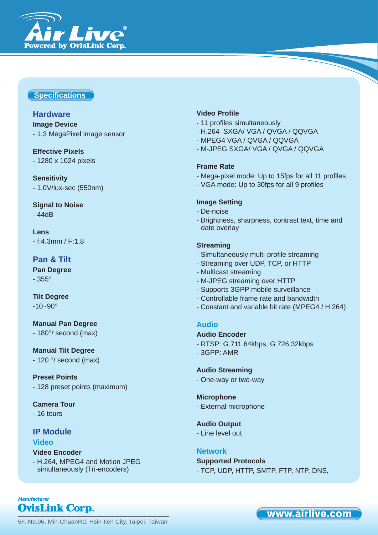

### **Specifi cations**

#### **Hardware**

**Image Device** - 1.3 MegaPixel image sensor

## **Effective Pixels**

- 1280 x 1024 pixels

**Sensitivity** - 1.0V/lux-sec (550nm)

**Signal to Noise** - 44dB

**Lens** - f:4.3mm / F:1.8

### **Pan & Tilt**

**Pan Degree** - 355°

**Tilt Degree**  $-10 - 90^\circ$ 

**Manual Pan Degree** - 180°/ second (max)

**Manual Tilt Degree** - 120 °/ second (max)

**Preset Points** - 128 preset points (maximum)

**Camera Tour** - 16 tours

#### **IP Module Video**

**OvisLink Corp.** 

**Manufacturer** 

#### **Video Encoder** - H.264, MPEG4 and Motion JPEG

simultaneously (Tri-encoders)

#### **Video Profile**

- 11 profiles simultaneously
- H.264 SXGA/ VGA / QVGA / QQVGA
- MPEG4 VGA / QVGA / QQVGA
- M-JPEG SXGA/ VGA / QVGA / QQVGA

#### **Frame Rate**

- Mega-pixel mode: Up to 15fps for all 11 profiles
- VGA mode: Up to 30fps for all 9 profiles

#### **Image Setting**

- De-noise
- Brightness, sharpness, contrast text, time and date overlay

#### **Streaming**

- Simultaneously multi-profile streaming
- Streaming over UDP, TCP, or HTTP
- Multicast streaming
- M-JPEG streaming over HTTP
- Supports 3GPP mobile surveillance
- Controllable frame rate and bandwidth
- Constant and variable bit rate (MPEG4 / H.264)

#### **Audio**

#### **Audio Encoder**

- 3GPP: AMR

- RTSP: G.711 64kbps, G.726 32kbps

#### **Audio Streaming**

- One-way or two-way

#### **Microphone**

- External microphone

#### **Audio Output**

- Line level out

#### **Network**

#### **Supported Protocols**

- TCP, UDP, HTTP, SMTP, FTP, NTP, DNS,

## www.airlive.com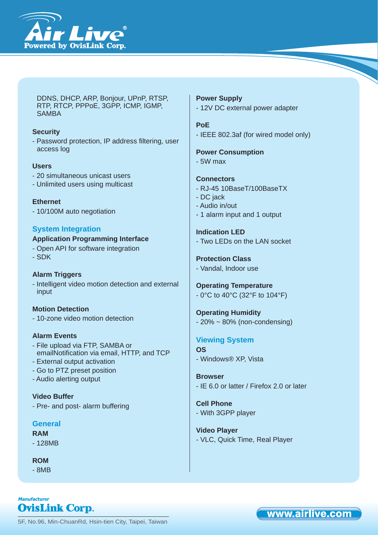

DDNS, DHCP, ARP, Bonjour, UPnP, RTSP, RTP, RTCP, PPPoE, 3GPP, ICMP, IGMP, SAMBA

#### **Security**

- Password protection, IP address filtering, user access log

#### **Users**

- 20 simultaneous unicast users
- Unlimited users using multicast

**Ethernet** - 10/100M auto negotiation

#### **System Integration**

#### **Application Programming Interface**

- Open API for software integration
- SDK

#### **Alarm Triggers**

- Intelligent video motion detection and external input

#### **Motion Detection**

- 10-zone video motion detection

#### **Alarm Events**

- File upload via FTP, SAMBA or emailNotification via email, HTTP, and TCP
- External output activation
- Go to PTZ preset position
- Audio alerting output

**Video Buffer** - Pre- and post- alarm buffering

#### **General**

#### **RAM**

- 128MB

**ROM**

- 8MB

**OvisLink Corp.** 

**Manufacturer** 

#### **Power Supply** - 12V DC external power adapter

#### **PoE**

- IEEE 802.3af (for wired model only)

**Power Consumption** - 5W max

#### **Connectors**

- RJ-45 10BaseT/100BaseTX
- DC jack
- Audio in/out
- 1 alarm input and 1 output

**Indication LED** - Two LEDs on the LAN socket

#### **Protection Class** - Vandal, Indoor use

**Operating Temperature** - 0°C to 40°C (32°F to 104°F)

**Operating Humidity**  $-20\% \sim 80\%$  (non-condensing)

#### **Viewing System OS**

- Windows® XP, Vista

**Browser** - IE 6.0 or latter / Firefox 2.0 or later

**Cell Phone** - With 3GPP player

**Video Player** - VLC, Quick Time, Real Player

5F, No.96, Min-ChuanRd, Hsin-tien City, Taipei, Taiwan

## www.airlive.com